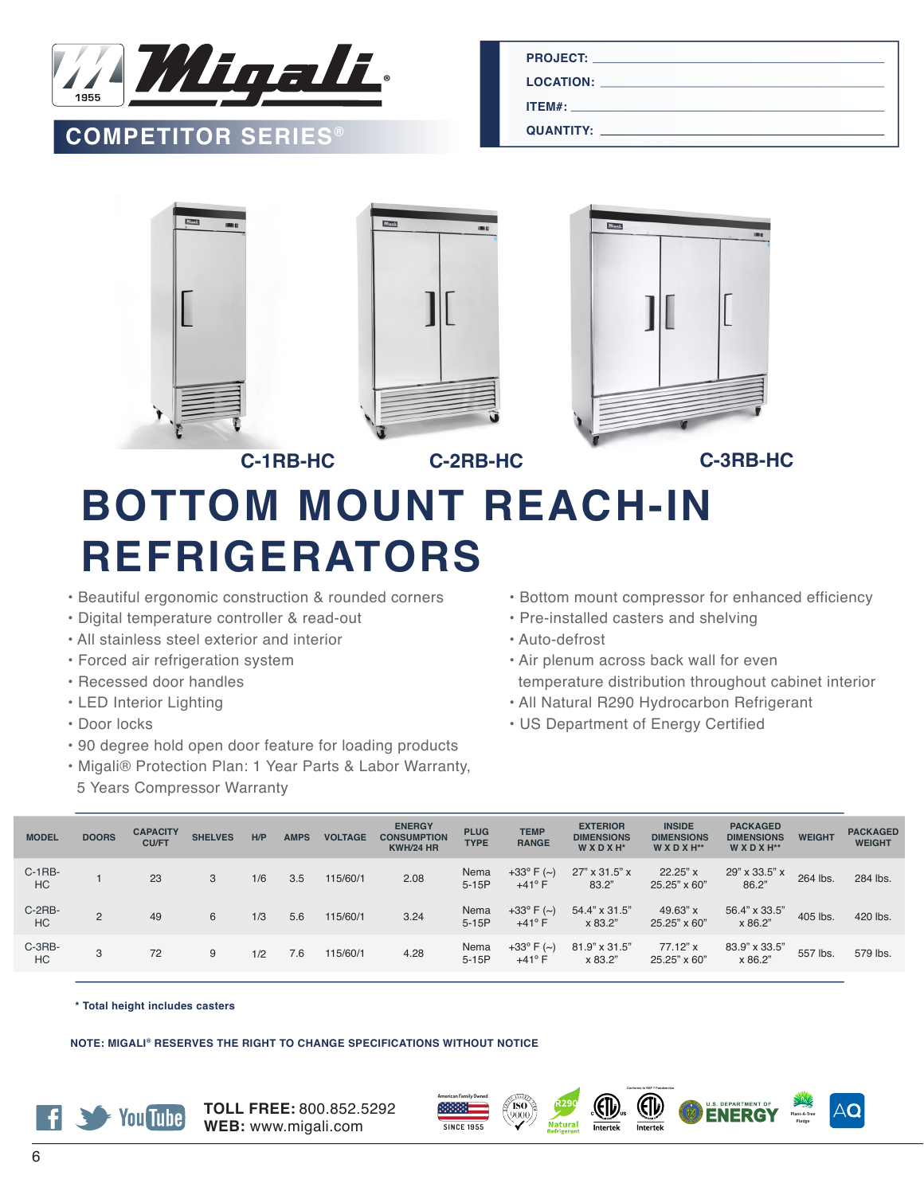

## **COMPETITOR SERIES®**

**PROJECT:**

**LOCATION:**

**ITEM#:**

**QUANTITY:**



## **BOTTOM MOUNT REACH-IN REFRIGERATORS**

- Beautiful ergonomic construction & rounded corners
- Digital temperature controller & read-out
- All stainless steel exterior and interior
- Forced air refrigeration system
- Recessed door handles
- LED Interior Lighting
- Door locks
- 90 degree hold open door feature for loading products
- Migali® Protection Plan: 1 Year Parts & Labor Warranty,
- 5 Years Compressor Warranty
- Bottom mount compressor for enhanced efficiency
- Pre-installed casters and shelving
- Auto-defrost
- Air plenum across back wall for even temperature distribution throughout cabinet interior
- All Natural R290 Hydrocarbon Refrigerant
- US Department of Energy Certified

| <b>MODEL</b> | <b>DOORS</b> | <b>CAPACITY</b><br><b>CU/FT</b> | <b>SHELVES</b> | H/P | <b>AMPS</b> | <b>VOLTAGE</b> | <b>ENERGY</b><br><b>CONSUMPTION</b><br><b>KWH/24 HR</b> | <b>PLUG</b><br><b>TYPE</b> | <b>TEMP</b><br><b>RANGE</b>             | <b>EXTERIOR</b><br><b>DIMENSIONS</b><br>WXDXH <sup>*</sup> | <b>INSIDE</b><br><b>DIMENSIONS</b><br>WXDXH** | <b>PACKAGED</b><br><b>DIMENSIONS</b><br>WXDXH** | <b>WEIGHT</b> | <b>PACKAGED</b><br><b>WEIGHT</b> |
|--------------|--------------|---------------------------------|----------------|-----|-------------|----------------|---------------------------------------------------------|----------------------------|-----------------------------------------|------------------------------------------------------------|-----------------------------------------------|-------------------------------------------------|---------------|----------------------------------|
| C-1RB-<br>HC |              | 23                              | 3              | 1/6 | 3.5         | 115/60/1       | 2.08                                                    | Nema<br>$5-15P$            | +33 $^{\circ}$ F (~)<br>$+41^{\circ}$ F | 27" x 31.5" x<br>83.2"                                     | $22.25"$ x<br>25.25" x 60"                    | 29" x 33.5" x<br>86.2"                          | 264 lbs.      | 284 lbs.                         |
| C-2RB-<br>HC | 2            | 49                              | 6              | 1/3 | 5.6         | 115/60/1       | 3.24                                                    | Nema<br>$5-15P$            | +33 $^{\circ}$ F (~)<br>$+41^{\circ}$ F | 54.4" x 31.5"<br>x 83.2"                                   | 49.63" x<br>25.25" x 60"                      | 56.4" x 33.5"<br>x 86.2"                        | 405 lbs.      | 420 lbs.                         |
| C-3RB-<br>HC | 3            | 72                              | 9              | 1/2 | 7.6         | 115/60/1       | 4.28                                                    | Nema<br>$5-15P$            | +33 $^{\circ}$ F (~)<br>$+41^{\circ}$ F | 81.9" x 31.5"<br>x 83.2"                                   | 77.12" x<br>25.25" x 60"                      | 83.9" x 33.5"<br>x 86.2"                        | 557 lbs.      | 579 lbs.                         |
|              |              |                                 |                |     |             |                |                                                         |                            |                                         |                                                            |                                               |                                                 |               |                                  |

**\* Total height includes casters**

**NOTE: MIGALI® RESERVES THE RIGHT TO CHANGE SPECIFICATIONS WITHOUT NOTICE**



**TOLL FREE:** 800.852.5292 **WEB:** www.migali.com







**Plant-A-Tree Pledge**